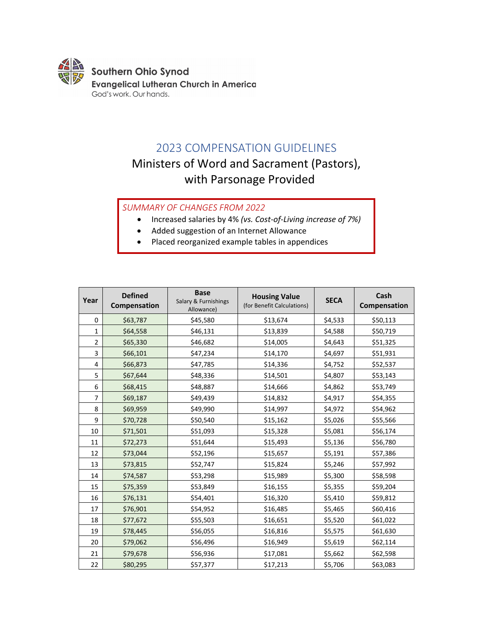

# 2023 COMPENSATION GUIDELINES

# Ministers of Word and Sacrament (Pastors), with Parsonage Provided

*SUMMARY OF CHANGES FROM 2022*

- Increased salaries by 4% *(vs. Cost-of-Living increase of 7%)*
- Added suggestion of an Internet Allowance
- Placed reorganized example tables in appendices

| Year           | <b>Defined</b><br>Compensation | <b>Base</b><br>Salary & Furnishings<br>Allowance) | <b>Housing Value</b><br>(for Benefit Calculations) | <b>SECA</b> | Cash<br>Compensation |
|----------------|--------------------------------|---------------------------------------------------|----------------------------------------------------|-------------|----------------------|
| 0              | \$63,787                       | \$45,580                                          | \$13,674                                           | \$4,533     | \$50,113             |
| $\mathbf 1$    | \$64,558                       | \$46,131                                          | \$13,839                                           | \$4,588     | \$50,719             |
| $\overline{2}$ | \$65,330                       | \$46,682                                          | \$14,005                                           | \$4,643     | \$51,325             |
| 3              | \$66,101                       | \$47,234                                          | \$14,170                                           | \$4,697     | \$51,931             |
| 4              | \$66,873                       | \$47,785                                          | \$14,336                                           | \$4,752     | \$52,537             |
| 5              | \$67,644                       | \$48,336                                          | \$14,501                                           | \$4,807     | \$53,143             |
| 6              | \$68,415                       | \$48,887                                          | \$14,666                                           | \$4,862     | \$53,749             |
| $\overline{7}$ | \$69,187                       | \$49,439                                          | \$14,832                                           | \$4,917     | \$54,355             |
| 8              | \$69,959                       | \$49,990                                          | \$14,997                                           | \$4,972     | \$54,962             |
| 9              | \$70,728                       | \$50,540                                          | \$15,162                                           | \$5,026     | \$55,566             |
| 10             | \$71,501                       | \$51,093                                          | \$15,328                                           | \$5,081     | \$56,174             |
| 11             | \$72,273                       | \$51,644                                          | \$15,493                                           | \$5,136     | \$56,780             |
| 12             | \$73,044                       | \$52,196                                          | \$15,657                                           | \$5,191     | \$57,386             |
| 13             | \$73,815                       | \$52,747                                          | \$15,824                                           | \$5,246     | \$57,992             |
| 14             | \$74,587                       | \$53,298                                          | \$15,989                                           | \$5,300     | \$58,598             |
| 15             | \$75,359                       | \$53,849                                          | \$16,155                                           | \$5,355     | \$59,204             |
| 16             | \$76,131                       | \$54,401                                          | \$16,320                                           | \$5,410     | \$59,812             |
| 17             | \$76,901                       | \$54,952                                          | \$16,485                                           | \$5,465     | \$60,416             |
| 18             | \$77,672                       | \$55,503                                          | \$16,651                                           | \$5,520     | \$61,022             |
| 19             | \$78,445                       | \$56,055                                          | \$16,816                                           | \$5,575     | \$61,630             |
| 20             | \$79,062                       | \$56,496                                          | \$16,949                                           | \$5,619     | \$62,114             |
| 21             | \$79,678                       | \$56,936                                          | \$17,081                                           | \$5,662     | \$62,598             |
| 22             | \$80,295                       | \$57,377                                          | \$17,213                                           | \$5,706     | \$63,083             |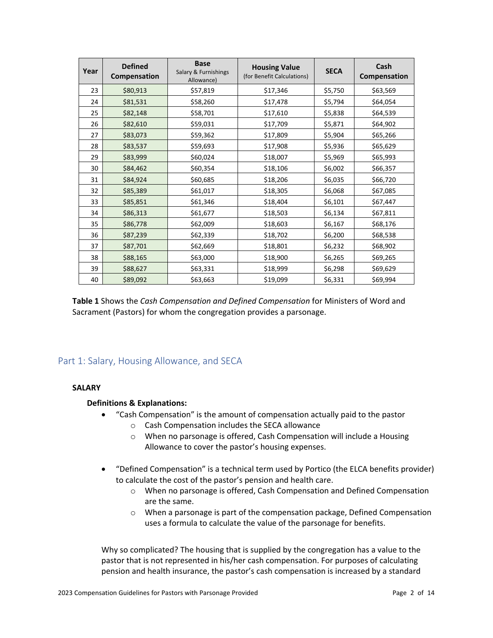| Year | <b>Defined</b><br>Compensation | <b>Base</b><br>Salary & Furnishings<br>Allowance) | <b>Housing Value</b><br>(for Benefit Calculations) | <b>SECA</b> | Cash<br>Compensation |
|------|--------------------------------|---------------------------------------------------|----------------------------------------------------|-------------|----------------------|
| 23   | \$80,913                       | \$57,819                                          | \$17,346                                           | \$5,750     | \$63,569             |
| 24   | \$81,531                       | \$58,260                                          | \$17,478                                           | \$5,794     | \$64,054             |
| 25   | \$82,148                       | \$58,701                                          | \$17,610                                           | \$5,838     | \$64,539             |
| 26   | \$82,610                       | \$59,031                                          | \$17,709                                           | \$5,871     | \$64,902             |
| 27   | \$83,073                       | \$59,362                                          | \$17,809                                           | \$5,904     | \$65,266             |
| 28   | \$83,537                       | \$59,693                                          | \$17,908                                           | \$5,936     | \$65,629             |
| 29   | \$83,999                       | \$60,024                                          | \$18,007                                           | \$5,969     | \$65,993             |
| 30   | \$84,462                       | \$60,354                                          | \$18,106                                           | \$6,002     | \$66,357             |
| 31   | \$84,924                       | \$60,685                                          | \$18,206                                           | \$6,035     | \$66,720             |
| 32   | \$85,389                       | \$61,017                                          | \$18,305                                           | \$6,068     | \$67,085             |
| 33   | \$85,851                       | \$61,346                                          | \$18,404                                           | \$6,101     | \$67,447             |
| 34   | \$86,313                       | \$61,677                                          | \$18,503                                           | \$6,134     | \$67,811             |
| 35   | \$86,778                       | \$62,009                                          | \$18,603                                           | \$6,167     | \$68,176             |
| 36   | \$87,239                       | \$62,339                                          | \$18,702                                           | \$6,200     | \$68,538             |
| 37   | \$87,701                       | \$62,669                                          | \$18,801                                           | \$6,232     | \$68,902             |
| 38   | \$88,165                       | \$63,000                                          | \$18,900                                           | \$6,265     | \$69,265             |
| 39   | \$88,627                       | \$63,331                                          | \$18,999                                           | \$6,298     | \$69,629             |
| 40   | \$89,092                       | \$63,663                                          | \$19,099                                           | \$6,331     | \$69,994             |

**Table 1** Shows the *Cash Compensation and Defined Compensation* for Ministers of Word and Sacrament (Pastors) for whom the congregation provides a parsonage.

# Part 1: Salary, Housing Allowance, and SECA

# **SALARY**

# **Definitions & Explanations:**

- "Cash Compensation" is the amount of compensation actually paid to the pastor
	- o Cash Compensation includes the SECA allowance
	- o When no parsonage is offered, Cash Compensation will include a Housing Allowance to cover the pastor's housing expenses.
- "Defined Compensation" is a technical term used by Portico (the ELCA benefits provider) to calculate the cost of the pastor's pension and health care.
	- o When no parsonage is offered, Cash Compensation and Defined Compensation are the same.
	- o When a parsonage is part of the compensation package, Defined Compensation uses a formula to calculate the value of the parsonage for benefits.

Why so complicated? The housing that is supplied by the congregation has a value to the pastor that is not represented in his/her cash compensation. For purposes of calculating pension and health insurance, the pastor's cash compensation is increased by a standard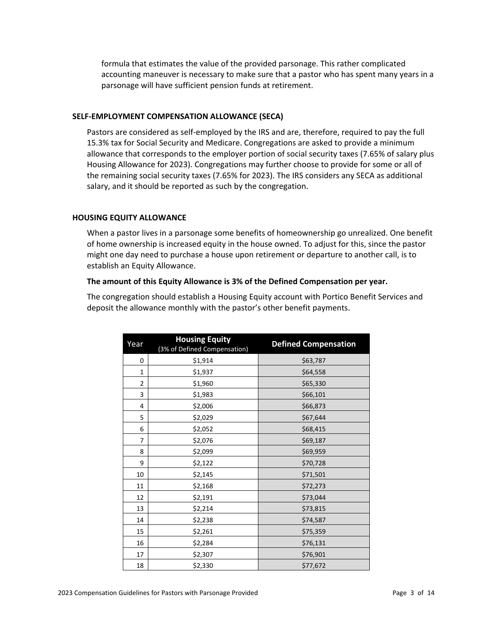formula that estimates the value of the provided parsonage. This rather complicated accounting maneuver is necessary to make sure that a pastor who has spent many years in a parsonage will have sufficient pension funds at retirement.

## **SELF-EMPLOYMENT COMPENSATION ALLOWANCE (SECA)**

Pastors are considered as self-employed by the IRS and are, therefore, required to pay the full 15.3% tax for Social Security and Medicare. Congregations are asked to provide a minimum allowance that corresponds to the employer portion of social security taxes (7.65% of salary plus Housing Allowance for 2023). Congregations may further choose to provide for some or all of the remaining social security taxes (7.65% for 2023). The IRS considers any SECA as additional salary, and it should be reported as such by the congregation.

# **HOUSING EQUITY ALLOWANCE**

When a pastor lives in a parsonage some benefits of homeownership go unrealized. One benefit of home ownership is increased equity in the house owned. To adjust for this, since the pastor might one day need to purchase a house upon retirement or departure to another call, is to establish an Equity Allowance.

## **The amount of this Equity Allowance is 3% of the Defined Compensation per year.**

The congregation should establish a Housing Equity account with Portico Benefit Services and deposit the allowance monthly with the pastor's other benefit payments.

| Year           | <b>Housing Equity</b><br>(3% of Defined Compensation) | <b>Defined Compensation</b> |
|----------------|-------------------------------------------------------|-----------------------------|
| 0              | \$1,914                                               | \$63,787                    |
| 1              | \$1,937                                               | \$64,558                    |
| $\overline{2}$ | \$1,960                                               | \$65,330                    |
| 3              | \$1,983                                               | \$66,101                    |
| 4              | \$2,006                                               | \$66,873                    |
| 5              | \$2,029                                               | \$67,644                    |
| 6              | \$2,052                                               | \$68,415                    |
| 7              | \$2,076                                               | \$69,187                    |
| 8              | \$2,099                                               | \$69,959                    |
| 9              | \$2,122                                               | \$70,728                    |
| 10             | \$2,145                                               | \$71,501                    |
| 11             | \$2,168                                               | \$72,273                    |
| 12             | \$2,191                                               | \$73,044                    |
| 13             | \$2,214                                               | \$73,815                    |
| 14             | \$2,238                                               | \$74,587                    |
| 15             | \$2,261                                               | \$75,359                    |
| 16             | \$2,284                                               | \$76,131                    |
| 17             | \$2,307                                               | \$76,901                    |
| 18             | \$2,330                                               | \$77,672                    |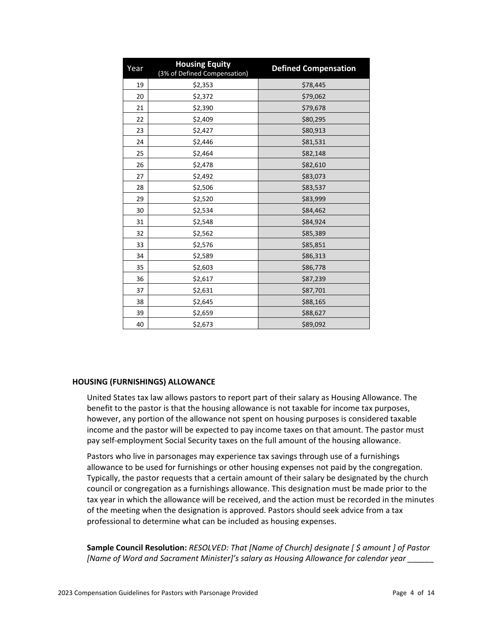| Year | <b>Housing Equity</b><br>(3% of Defined Compensation) | <b>Defined Compensation</b> |
|------|-------------------------------------------------------|-----------------------------|
| 19   | \$2,353                                               | \$78,445                    |
| 20   | \$2,372                                               | \$79,062                    |
| 21   | \$2,390                                               | \$79,678                    |
| 22   | \$2,409                                               | \$80,295                    |
| 23   | \$2,427                                               | \$80,913                    |
| 24   | \$2,446                                               | \$81,531                    |
| 25   | \$2,464                                               | \$82,148                    |
| 26   | \$2,478                                               | \$82,610                    |
| 27   | \$2,492                                               | \$83,073                    |
| 28   | \$2,506                                               | \$83,537                    |
| 29   | \$2,520                                               | \$83,999                    |
| 30   | \$2,534                                               | \$84,462                    |
| 31   | \$2,548                                               | \$84,924                    |
| 32   | \$2,562                                               | \$85,389                    |
| 33   | \$2,576                                               | \$85,851                    |
| 34   | \$2,589                                               | \$86,313                    |
| 35   | \$2,603                                               | \$86,778                    |
| 36   | \$2,617                                               | \$87,239                    |
| 37   | \$2,631                                               | \$87,701                    |
| 38   | \$2,645                                               | \$88,165                    |
| 39   | \$2,659                                               | \$88,627                    |
| 40   | \$2,673                                               | \$89,092                    |

## **HOUSING (FURNISHINGS) ALLOWANCE**

United States tax law allows pastors to report part of their salary as Housing Allowance. The benefit to the pastor is that the housing allowance is not taxable for income tax purposes, however, any portion of the allowance not spent on housing purposes is considered taxable income and the pastor will be expected to pay income taxes on that amount. The pastor must pay self-employment Social Security taxes on the full amount of the housing allowance.

Pastors who live in parsonages may experience tax savings through use of a furnishings allowance to be used for furnishings or other housing expenses not paid by the congregation. Typically, the pastor requests that a certain amount of their salary be designated by the church council or congregation as a furnishings allowance. This designation must be made prior to the tax year in which the allowance will be received, and the action must be recorded in the minutes of the meeting when the designation is approved. Pastors should seek advice from a tax professional to determine what can be included as housing expenses.

**Sample Council Resolution:** *RESOLVED: That [Name of Church] designate [ \$ amount ] of Pastor [Name of Word and Sacrament Minister]'s salary as Housing Allowance for calendar year \_\_\_\_\_\_*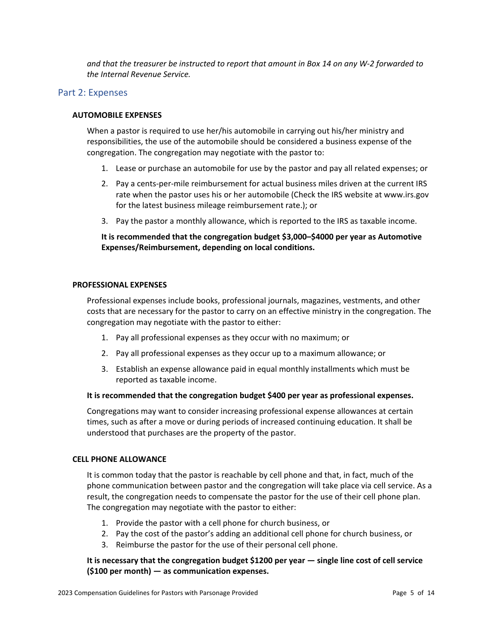*and that the treasurer be instructed to report that amount in Box 14 on any W-2 forwarded to the Internal Revenue Service.*

# Part 2: Expenses

## **AUTOMOBILE EXPENSES**

When a pastor is required to use her/his automobile in carrying out his/her ministry and responsibilities, the use of the automobile should be considered a business expense of the congregation. The congregation may negotiate with the pastor to:

- 1. Lease or purchase an automobile for use by the pastor and pay all related expenses; or
- 2. Pay a cents-per-mile reimbursement for actual business miles driven at the current IRS rate when the pastor uses his or her automobile (Check the IRS website at www.irs.gov for the latest business mileage reimbursement rate.); or
- 3. Pay the pastor a monthly allowance, which is reported to the IRS as taxable income.

# **It is recommended that the congregation budget \$3,000–\$4000 per year as Automotive Expenses/Reimbursement, depending on local conditions.**

## **PROFESSIONAL EXPENSES**

Professional expenses include books, professional journals, magazines, vestments, and other costs that are necessary for the pastor to carry on an effective ministry in the congregation. The congregation may negotiate with the pastor to either:

- 1. Pay all professional expenses as they occur with no maximum; or
- 2. Pay all professional expenses as they occur up to a maximum allowance; or
- 3. Establish an expense allowance paid in equal monthly installments which must be reported as taxable income.

## **It is recommended that the congregation budget \$400 per year as professional expenses.**

Congregations may want to consider increasing professional expense allowances at certain times, such as after a move or during periods of increased continuing education. It shall be understood that purchases are the property of the pastor.

## **CELL PHONE ALLOWANCE**

It is common today that the pastor is reachable by cell phone and that, in fact, much of the phone communication between pastor and the congregation will take place via cell service. As a result, the congregation needs to compensate the pastor for the use of their cell phone plan. The congregation may negotiate with the pastor to either:

- 1. Provide the pastor with a cell phone for church business, or
- 2. Pay the cost of the pastor's adding an additional cell phone for church business, or
- 3. Reimburse the pastor for the use of their personal cell phone.

# **It is necessary that the congregation budget \$1200 per year — single line cost of cell service (\$100 per month) — as communication expenses.**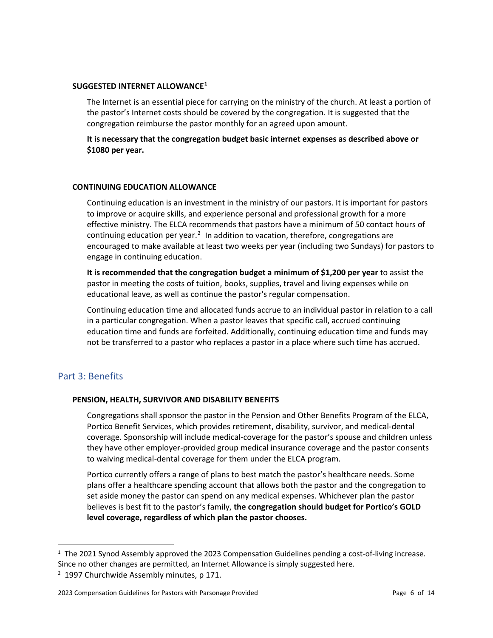#### **SUGGESTED INTERNET ALLOWANCE[1](#page-5-0)**

The Internet is an essential piece for carrying on the ministry of the church. At least a portion of the pastor's Internet costs should be covered by the congregation. It is suggested that the congregation reimburse the pastor monthly for an agreed upon amount.

**It is necessary that the congregation budget basic internet expenses as described above or \$1080 per year.**

#### **CONTINUING EDUCATION ALLOWANCE**

Continuing education is an investment in the ministry of our pastors. It is important for pastors to improve or acquire skills, and experience personal and professional growth for a more effective ministry. The ELCA recommends that pastors have a minimum of 50 contact hours of continuing education per year.<sup>[2](#page-5-1)</sup> In addition to vacation, therefore, congregations are encouraged to make available at least two weeks per year (including two Sundays) for pastors to engage in continuing education.

**It is recommended that the congregation budget a minimum of \$1,200 per year** to assist the pastor in meeting the costs of tuition, books, supplies, travel and living expenses while on educational leave, as well as continue the pastor's regular compensation.

Continuing education time and allocated funds accrue to an individual pastor in relation to a call in a particular congregation. When a pastor leaves that specific call, accrued continuing education time and funds are forfeited. Additionally, continuing education time and funds may not be transferred to a pastor who replaces a pastor in a place where such time has accrued.

# Part 3: Benefits

 $\overline{a}$ 

## **PENSION, HEALTH, SURVIVOR AND DISABILITY BENEFITS**

Congregations shall sponsor the pastor in the Pension and Other Benefits Program of the ELCA, Portico Benefit Services, which provides retirement, disability, survivor, and medical-dental coverage. Sponsorship will include medical-coverage for the pastor's spouse and children unless they have other employer-provided group medical insurance coverage and the pastor consents to waiving medical-dental coverage for them under the ELCA program.

Portico currently offers a range of plans to best match the pastor's healthcare needs. Some plans offer a healthcare spending account that allows both the pastor and the congregation to set aside money the pastor can spend on any medical expenses. Whichever plan the pastor believes is best fit to the pastor's family, **the congregation should budget for Portico's GOLD level coverage, regardless of which plan the pastor chooses.**

<span id="page-5-0"></span> $1$  The 2021 Synod Assembly approved the 2023 Compensation Guidelines pending a cost-of-living increase. Since no other changes are permitted, an Internet Allowance is simply suggested here.

<span id="page-5-1"></span><sup>&</sup>lt;sup>2</sup> 1997 Churchwide Assembly minutes, p 171.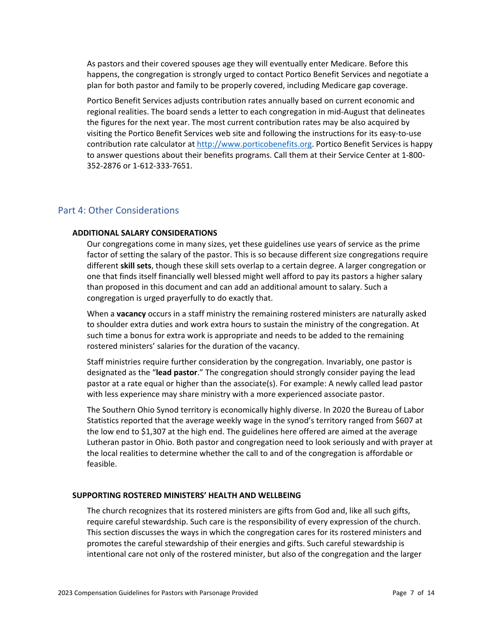As pastors and their covered spouses age they will eventually enter Medicare. Before this happens, the congregation is strongly urged to contact Portico Benefit Services and negotiate a plan for both pastor and family to be properly covered, including Medicare gap coverage.

Portico Benefit Services adjusts contribution rates annually based on current economic and regional realities. The board sends a letter to each congregation in mid-August that delineates the figures for the next year. The most current contribution rates may be also acquired by visiting the Portico Benefit Services web site and following the instructions for its easy-to-use contribution rate calculator at [http://www.porticobenefits.org.](http://www.porticobenefits.org/) Portico Benefit Services is happy to answer questions about their benefits programs. Call them at their Service Center at 1-800- 352-2876 or 1-612-333-7651.

# Part 4: Other Considerations

#### **ADDITIONAL SALARY CONSIDERATIONS**

Our congregations come in many sizes, yet these guidelines use years of service as the prime factor of setting the salary of the pastor. This is so because different size congregations require different **skill sets**, though these skill sets overlap to a certain degree. A larger congregation or one that finds itself financially well blessed might well afford to pay its pastors a higher salary than proposed in this document and can add an additional amount to salary. Such a congregation is urged prayerfully to do exactly that.

When a **vacancy** occurs in a staff ministry the remaining rostered ministers are naturally asked to shoulder extra duties and work extra hours to sustain the ministry of the congregation. At such time a bonus for extra work is appropriate and needs to be added to the remaining rostered ministers' salaries for the duration of the vacancy.

Staff ministries require further consideration by the congregation. Invariably, one pastor is designated as the "**lead pastor**." The congregation should strongly consider paying the lead pastor at a rate equal or higher than the associate(s). For example: A newly called lead pastor with less experience may share ministry with a more experienced associate pastor.

The Southern Ohio Synod territory is economically highly diverse. In 2020 the Bureau of Labor Statistics reported that the average weekly wage in the synod's territory ranged from \$607 at the low end to \$1,307 at the high end. The guidelines here offered are aimed at the average Lutheran pastor in Ohio. Both pastor and congregation need to look seriously and with prayer at the local realities to determine whether the call to and of the congregation is affordable or feasible.

#### **SUPPORTING ROSTERED MINISTERS' HEALTH AND WELLBEING**

The church recognizes that its rostered ministers are gifts from God and, like all such gifts, require careful stewardship. Such care is the responsibility of every expression of the church. This section discusses the ways in which the congregation cares for its rostered ministers and promotes the careful stewardship of their energies and gifts. Such careful stewardship is intentional care not only of the rostered minister, but also of the congregation and the larger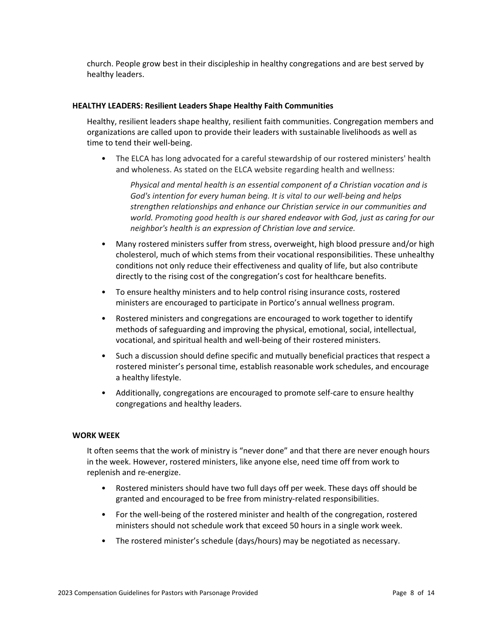church. People grow best in their discipleship in healthy congregations and are best served by healthy leaders.

## **HEALTHY LEADERS: Resilient Leaders Shape Healthy Faith Communities**

Healthy, resilient leaders shape healthy, resilient faith communities. Congregation members and organizations are called upon to provide their leaders with sustainable livelihoods as well as time to tend their well-being.

• The ELCA has long advocated for a careful stewardship of our rostered ministers' health and wholeness. As stated on the ELCA website regarding health and wellness:

 *Physical and mental health is an essential component of a Christian vocation and is God's intention for every human being. It is vital to our well-being and helps strengthen relationships and enhance our Christian service in our communities and world. Promoting good health is our shared endeavor with God, just as caring for our neighbor's health is an expression of Christian love and service.*

- Many rostered ministers suffer from stress, overweight, high blood pressure and/or high cholesterol, much of which stems from their vocational responsibilities. These unhealthy conditions not only reduce their effectiveness and quality of life, but also contribute directly to the rising cost of the congregation's cost for healthcare benefits.
- To ensure healthy ministers and to help control rising insurance costs, rostered ministers are encouraged to participate in Portico's annual wellness program.
- Rostered ministers and congregations are encouraged to work together to identify methods of safeguarding and improving the physical, emotional, social, intellectual, vocational, and spiritual health and well-being of their rostered ministers.
- Such a discussion should define specific and mutually beneficial practices that respect a rostered minister's personal time, establish reasonable work schedules, and encourage a healthy lifestyle.
- Additionally, congregations are encouraged to promote self-care to ensure healthy congregations and healthy leaders.

## **WORK WEEK**

It often seems that the work of ministry is "never done" and that there are never enough hours in the week. However, rostered ministers, like anyone else, need time off from work to replenish and re-energize.

- Rostered ministers should have two full days off per week. These days off should be granted and encouraged to be free from ministry-related responsibilities.
- For the well-being of the rostered minister and health of the congregation, rostered ministers should not schedule work that exceed 50 hours in a single work week.
- The rostered minister's schedule (days/hours) may be negotiated as necessary.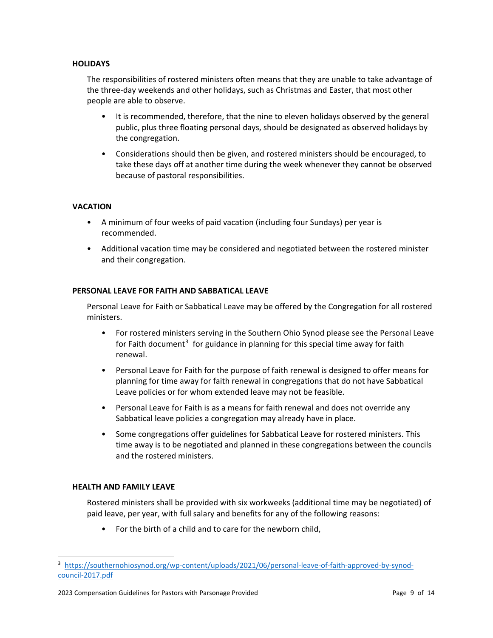# **HOLIDAYS**

The responsibilities of rostered ministers often means that they are unable to take advantage of the three-day weekends and other holidays, such as Christmas and Easter, that most other people are able to observe.

- It is recommended, therefore, that the nine to eleven holidays observed by the general public, plus three floating personal days, should be designated as observed holidays by the congregation.
- Considerations should then be given, and rostered ministers should be encouraged, to take these days off at another time during the week whenever they cannot be observed because of pastoral responsibilities.

# **VACATION**

- A minimum of four weeks of paid vacation (including four Sundays) per year is recommended.
- Additional vacation time may be considered and negotiated between the rostered minister and their congregation.

## **PERSONAL LEAVE FOR FAITH AND SABBATICAL LEAVE**

Personal Leave for Faith or Sabbatical Leave may be offered by the Congregation for all rostered ministers.

- For rostered ministers serving in the Southern Ohio Synod please see the Personal Leave for Faith document<sup>[3](#page-8-0)</sup> for guidance in planning for this special time away for faith renewal.
- Personal Leave for Faith for the purpose of faith renewal is designed to offer means for planning for time away for faith renewal in congregations that do not have Sabbatical Leave policies or for whom extended leave may not be feasible.
- Personal Leave for Faith is as a means for faith renewal and does not override any Sabbatical leave policies a congregation may already have in place.
- Some congregations offer guidelines for Sabbatical Leave for rostered ministers. This time away is to be negotiated and planned in these congregations between the councils and the rostered ministers.

## **HEALTH AND FAMILY LEAVE**

 $\overline{a}$ 

Rostered ministers shall be provided with six workweeks (additional time may be negotiated) of paid leave, per year, with full salary and benefits for any of the following reasons:

• For the birth of a child and to care for the newborn child,

<span id="page-8-0"></span><sup>3</sup> [https://southernohiosynod.org/wp-content/uploads/2021/06/personal-leave-of-faith-approved-by-synod](https://southernohiosynod.org/wp-content/uploads/2021/06/personal-leave-of-faith-approved-by-synod-council-2017.pdf)[council-2017.pdf](https://southernohiosynod.org/wp-content/uploads/2021/06/personal-leave-of-faith-approved-by-synod-council-2017.pdf)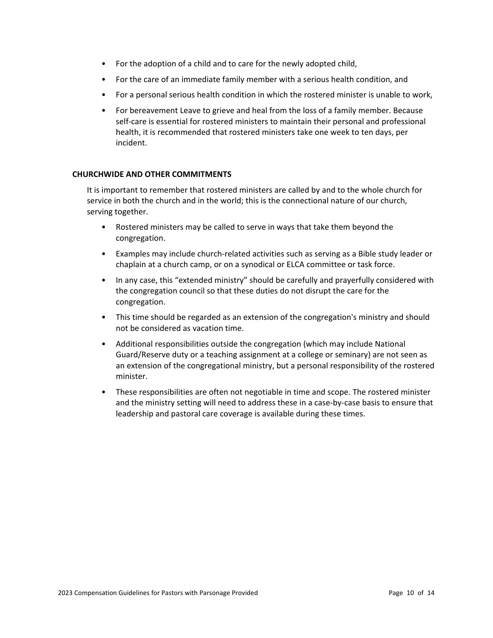- For the adoption of a child and to care for the newly adopted child,
- For the care of an immediate family member with a serious health condition, and
- For a personal serious health condition in which the rostered minister is unable to work,
- For bereavement Leave to grieve and heal from the loss of a family member. Because self-care is essential for rostered ministers to maintain their personal and professional health, it is recommended that rostered ministers take one week to ten days, per incident.

## **CHURCHWIDE AND OTHER COMMITMENTS**

It is important to remember that rostered ministers are called by and to the whole church for service in both the church and in the world; this is the connectional nature of our church, serving together.

- Rostered ministers may be called to serve in ways that take them beyond the congregation.
- Examples may include church-related activities such as serving as a Bible study leader or chaplain at a church camp, or on a synodical or ELCA committee or task force.
- In any case, this "extended ministry" should be carefully and prayerfully considered with the congregation council so that these duties do not disrupt the care for the congregation.
- This time should be regarded as an extension of the congregation's ministry and should not be considered as vacation time.
- Additional responsibilities outside the congregation (which may include National Guard/Reserve duty or a teaching assignment at a college or seminary) are not seen as an extension of the congregational ministry, but a personal responsibility of the rostered minister.
- These responsibilities are often not negotiable in time and scope. The rostered minister and the ministry setting will need to address these in a case-by-case basis to ensure that leadership and pastoral care coverage is available during these times.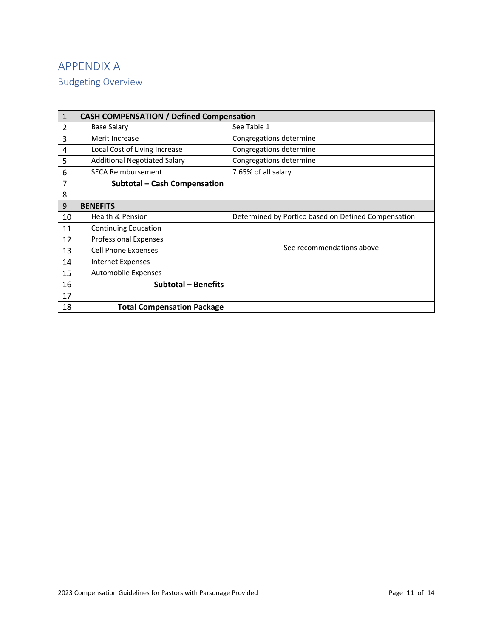# APPENDIX A

Budgeting Overview

| 1  | <b>CASH COMPENSATION / Defined Compensation</b>                |                                                     |  |  |  |
|----|----------------------------------------------------------------|-----------------------------------------------------|--|--|--|
| 2  | <b>Base Salary</b>                                             | See Table 1                                         |  |  |  |
| 3  | Merit Increase                                                 | Congregations determine                             |  |  |  |
| 4  | Local Cost of Living Increase                                  | Congregations determine                             |  |  |  |
| 5  | <b>Additional Negotiated Salary</b><br>Congregations determine |                                                     |  |  |  |
| 6  | <b>SECA Reimbursement</b>                                      | 7.65% of all salary                                 |  |  |  |
| 7  | <b>Subtotal - Cash Compensation</b>                            |                                                     |  |  |  |
| 8  |                                                                |                                                     |  |  |  |
| 9  | <b>BENEFITS</b>                                                |                                                     |  |  |  |
| 10 | <b>Health &amp; Pension</b>                                    | Determined by Portico based on Defined Compensation |  |  |  |
|    |                                                                |                                                     |  |  |  |
| 11 | Continuing Education                                           |                                                     |  |  |  |
| 12 | <b>Professional Expenses</b>                                   |                                                     |  |  |  |
| 13 | <b>Cell Phone Expenses</b>                                     | See recommendations above                           |  |  |  |
| 14 | <b>Internet Expenses</b>                                       |                                                     |  |  |  |
| 15 | Automobile Expenses                                            |                                                     |  |  |  |
| 16 | <b>Subtotal - Benefits</b>                                     |                                                     |  |  |  |
| 17 |                                                                |                                                     |  |  |  |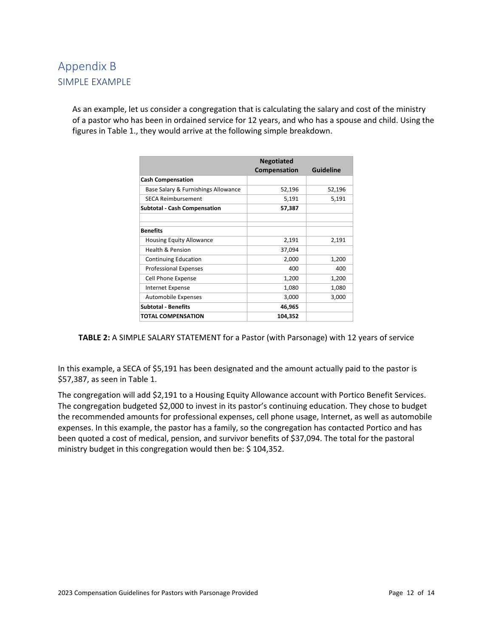# Appendix B SIMPLE EXAMPLE

As an example, let us consider a congregation that is calculating the salary and cost of the ministry of a pastor who has been in ordained service for 12 years, and who has a spouse and child. Using the figures in Table 1., they would arrive at the following simple breakdown.

|                                     | <b>Negotiated</b> |                  |
|-------------------------------------|-------------------|------------------|
|                                     | Compensation      | <b>Guideline</b> |
| <b>Cash Compensation</b>            |                   |                  |
| Base Salary & Furnishings Allowance | 52,196            | 52,196           |
| <b>SECA Reimbursement</b>           | 5,191             | 5,191            |
| <b>Subtotal - Cash Compensation</b> | 57,387            |                  |
|                                     |                   |                  |
| <b>Benefits</b>                     |                   |                  |
| <b>Housing Equity Allowance</b>     | 2,191             | 2,191            |
| <b>Health &amp; Pension</b>         | 37,094            |                  |
| <b>Continuing Education</b>         | 2,000             | 1,200            |
| <b>Professional Expenses</b>        | 400               | 400              |
| Cell Phone Expense                  | 1,200             | 1,200            |
| Internet Expense                    | 1,080             | 1,080            |
| <b>Automobile Expenses</b>          | 3,000             | 3,000            |
| <b>Subtotal - Benefits</b>          | 46,965            |                  |
| <b>TOTAL COMPENSATION</b>           | 104,352           |                  |

**TABLE 2:** A SIMPLE SALARY STATEMENT for a Pastor (with Parsonage) with 12 years of service

In this example, a SECA of \$5,191 has been designated and the amount actually paid to the pastor is \$57,387, as seen in Table 1.

The congregation will add \$2,191 to a Housing Equity Allowance account with Portico Benefit Services. The congregation budgeted \$2,000 to invest in its pastor's continuing education. They chose to budget the recommended amounts for professional expenses, cell phone usage, Internet, as well as automobile expenses. In this example, the pastor has a family, so the congregation has contacted Portico and has been quoted a cost of medical, pension, and survivor benefits of \$37,094. The total for the pastoral ministry budget in this congregation would then be: \$ 104,352.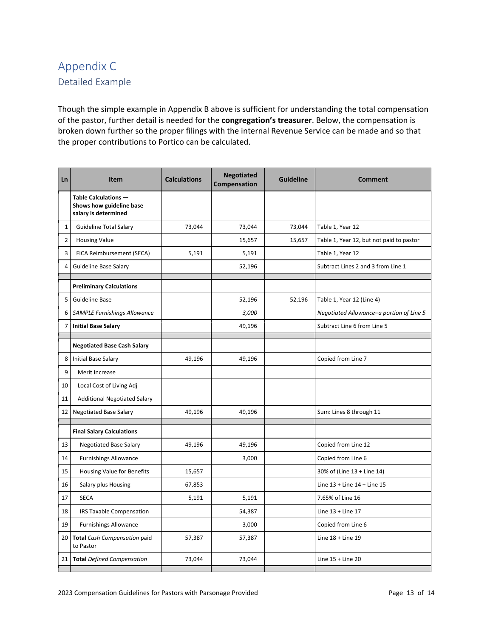# Appendix C Detailed Example

Though the simple example in Appendix B above is sufficient for understanding the total compensation of the pastor, further detail is needed for the **congregation's treasurer**. Below, the compensation is broken down further so the proper filings with the internal Revenue Service can be made and so that the proper contributions to Portico can be calculated.

| <b>Ln</b>      | <b>Item</b>                                                              | <b>Calculations</b> | <b>Negotiated</b><br>Compensation | <b>Guideline</b> | <b>Comment</b>                           |
|----------------|--------------------------------------------------------------------------|---------------------|-----------------------------------|------------------|------------------------------------------|
|                | Table Calculations -<br>Shows how guideline base<br>salary is determined |                     |                                   |                  |                                          |
| $\mathbf 1$    | <b>Guideline Total Salary</b>                                            | 73,044              | 73,044                            | 73,044           | Table 1, Year 12                         |
| $\overline{2}$ | <b>Housing Value</b>                                                     |                     | 15,657                            | 15,657           | Table 1, Year 12, but not paid to pastor |
| 3              | FICA Reimbursement (SECA)                                                | 5,191               | 5,191                             |                  | Table 1, Year 12                         |
| 4              | Guideline Base Salary                                                    |                     | 52,196                            |                  | Subtract Lines 2 and 3 from Line 1       |
|                | <b>Preliminary Calculations</b>                                          |                     |                                   |                  |                                          |
| 5              | <b>Guideline Base</b>                                                    |                     | 52,196                            | 52,196           | Table 1, Year 12 (Line 4)                |
| 6              | <b>SAMPLE Furnishings Allowance</b>                                      |                     | 3,000                             |                  | Negotiated Allowance-a portion of Line 5 |
| 7              | <b>Initial Base Salary</b>                                               |                     | 49,196                            |                  | Subtract Line 6 from Line 5              |
|                | <b>Negotiated Base Cash Salary</b>                                       |                     |                                   |                  |                                          |
| 8              | <b>Initial Base Salary</b>                                               | 49,196              | 49,196                            |                  | Copied from Line 7                       |
| 9              | Merit Increase                                                           |                     |                                   |                  |                                          |
| 10             | Local Cost of Living Adj                                                 |                     |                                   |                  |                                          |
| 11             | <b>Additional Negotiated Salary</b>                                      |                     |                                   |                  |                                          |
| 12             | <b>Negotiated Base Salary</b>                                            | 49,196              | 49,196                            |                  | Sum: Lines 8 through 11                  |
|                | <b>Final Salary Calculations</b>                                         |                     |                                   |                  |                                          |
| 13             | <b>Negotiated Base Salary</b>                                            | 49,196              | 49,196                            |                  | Copied from Line 12                      |
| 14             | <b>Furnishings Allowance</b>                                             |                     | 3,000                             |                  | Copied from Line 6                       |
| 15             | Housing Value for Benefits                                               | 15,657              |                                   |                  | 30% of (Line 13 + Line 14)               |
| 16             | Salary plus Housing                                                      | 67,853              |                                   |                  | Line 13 + Line 14 + Line 15              |
| 17             | <b>SECA</b>                                                              | 5,191               | 5,191                             |                  | 7.65% of Line 16                         |
| 18             | <b>IRS Taxable Compensation</b>                                          |                     | 54,387                            |                  | Line $13 +$ Line $17$                    |
| 19             | <b>Furnishings Allowance</b>                                             |                     | 3,000                             |                  | Copied from Line 6                       |
| 20             | <b>Total</b> Cash Compensation paid<br>to Pastor                         | 57,387              | 57,387                            |                  | Line $18 +$ Line $19$                    |
|                | 21 Total Defined Compensation                                            | 73,044              | 73,044                            |                  | Line $15 +$ Line 20                      |
|                |                                                                          |                     |                                   |                  |                                          |